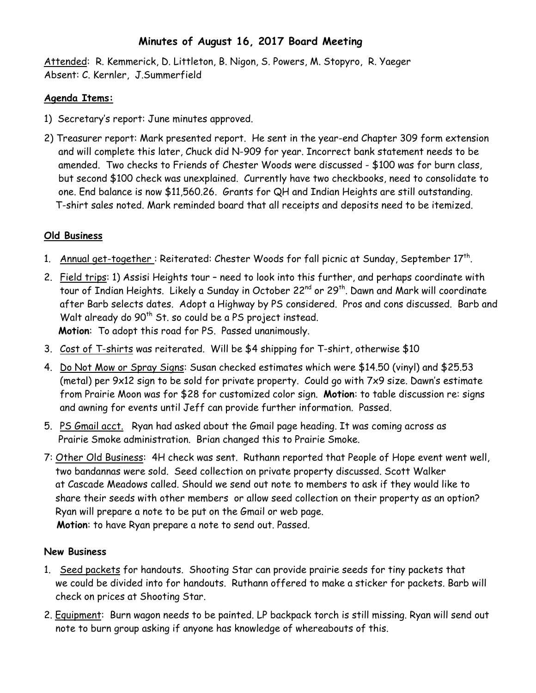## **Minutes of August 16, 2017 Board Meeting**

Attended: R. Kemmerick, D. Littleton, B. Nigon, S. Powers, M. Stopyro, R. Yaeger Absent: C. Kernler, J.Summerfield

## **Agenda Items:**

- 1) Secretary's report: June minutes approved.
- 2) Treasurer report: Mark presented report. He sent in the year-end Chapter 309 form extension and will complete this later, Chuck did N-909 for year. Incorrect bank statement needs to be amended. Two checks to Friends of Chester Woods were discussed - \$100 was for burn class, but second \$100 check was unexplained. Currently have two checkbooks, need to consolidate to one. End balance is now \$11,560.26. Grants for QH and Indian Heights are still outstanding. T-shirt sales noted. Mark reminded board that all receipts and deposits need to be itemized.

## **Old Business**

- 1. Annual get-together : Reiterated: Chester Woods for fall picnic at Sunday, September 17th.
- 2. Field trips: 1) Assisi Heights tour need to look into this further, and perhaps coordinate with tour of Indian Heights. Likely a Sunday in October 22<sup>nd</sup> or 29<sup>th</sup>. Dawn and Mark will coordinate after Barb selects dates. Adopt a Highway by PS considered. Pros and cons discussed. Barb and Walt already do 90<sup>th</sup> St. so could be a PS project instead. **Motion**: To adopt this road for PS. Passed unanimously.
- 3. Cost of T-shirts was reiterated. Will be \$4 shipping for T-shirt, otherwise \$10
- 4. Do Not Mow or Spray Signs: Susan checked estimates which were \$14.50 (vinyl) and \$25.53 (metal) per 9x12 sign to be sold for private property. Could go with 7x9 size. Dawn's estimate from Prairie Moon was for \$28 for customized color sign. **Motion**: to table discussion re: signs and awning for events until Jeff can provide further information. Passed.
- 5. PS Gmail acct. Ryan had asked about the Gmail page heading. It was coming across as Prairie Smoke administration. Brian changed this to Prairie Smoke.
- 7: Other Old Business: 4H check was sent. Ruthann reported that People of Hope event went well, two bandannas were sold. Seed collection on private property discussed. Scott Walker at Cascade Meadows called. Should we send out note to members to ask if they would like to share their seeds with other members or allow seed collection on their property as an option? Ryan will prepare a note to be put on the Gmail or web page.

 **Motion**: to have Ryan prepare a note to send out. Passed.

## **New Business**

- 1. Seed packets for handouts. Shooting Star can provide prairie seeds for tiny packets that we could be divided into for handouts. Ruthann offered to make a sticker for packets. Barb will check on prices at Shooting Star.
- 2. Equipment: Burn wagon needs to be painted. LP backpack torch is still missing. Ryan will send out note to burn group asking if anyone has knowledge of whereabouts of this.